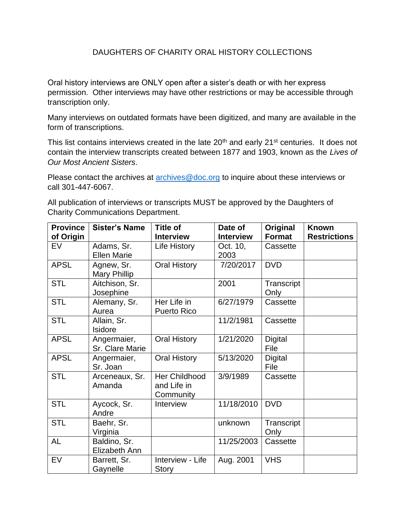## DAUGHTERS OF CHARITY ORAL HISTORY COLLECTIONS

Oral history interviews are ONLY open after a sister's death or with her express permission. Other interviews may have other restrictions or may be accessible through transcription only.

Many interviews on outdated formats have been digitized, and many are available in the form of transcriptions.

This list contains interviews created in the late 20<sup>th</sup> and early 21<sup>st</sup> centuries. It does not contain the interview transcripts created between 1877 and 1903, known as the *Lives of Our Most Ancient Sisters*.

Please contact the archives at [archives@doc.org](mailto:archives@doc.org) to inquire about these interviews or call 301-447-6067.

All publication of interviews or transcripts MUST be approved by the Daughters of Charity Communications Department.

| <b>Province</b> | <b>Sister's Name</b>             | <b>Title of</b>                           | Date of          | Original           | <b>Known</b>        |
|-----------------|----------------------------------|-------------------------------------------|------------------|--------------------|---------------------|
| of Origin       |                                  | <b>Interview</b>                          | <b>Interview</b> | <b>Format</b>      | <b>Restrictions</b> |
| EV              | Adams, Sr.<br><b>Ellen Marie</b> | Life History                              | Oct. 10,<br>2003 | Cassette           |                     |
| <b>APSL</b>     | Agnew, Sr.<br>Mary Phillip       | Oral History                              | 7/20/2017        | <b>DVD</b>         |                     |
| <b>STL</b>      | Aitchison, Sr.<br>Josephine      |                                           | 2001             | Transcript<br>Only |                     |
| <b>STL</b>      | Alemany, Sr.<br>Aurea            | Her Life in<br><b>Puerto Rico</b>         | 6/27/1979        | Cassette           |                     |
| <b>STL</b>      | Allain, Sr.<br><b>Isidore</b>    |                                           | 11/2/1981        | Cassette           |                     |
| <b>APSL</b>     | Angermaier,<br>Sr. Clare Marie   | <b>Oral History</b>                       | 1/21/2020        | Digital<br>File    |                     |
| <b>APSL</b>     | Angermaier,<br>Sr. Joan          | <b>Oral History</b>                       | 5/13/2020        | Digital<br>File    |                     |
| <b>STL</b>      | Arceneaux, Sr.<br>Amanda         | Her Childhood<br>and Life in<br>Community | 3/9/1989         | Cassette           |                     |
| <b>STL</b>      | Aycock, Sr.<br>Andre             | Interview                                 | 11/18/2010       | <b>DVD</b>         |                     |
| <b>STL</b>      | Baehr, Sr.<br>Virginia           |                                           | unknown          | Transcript<br>Only |                     |
| <b>AL</b>       | Baldino, Sr.<br>Elizabeth Ann    |                                           | 11/25/2003       | Cassette           |                     |
| EV              | Barrett, Sr.<br>Gaynelle         | Interview - Life<br>Story                 | Aug. 2001        | <b>VHS</b>         |                     |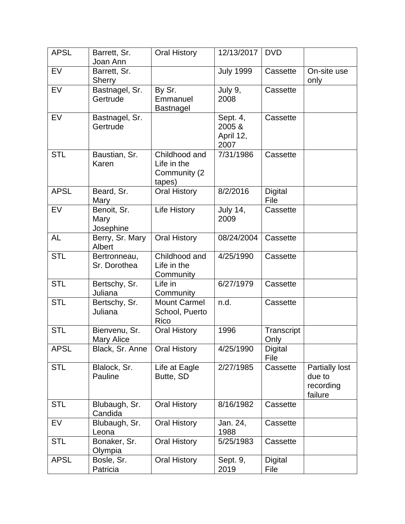| <b>APSL</b> | Barrett, Sr.<br>Joan Ann           | <b>Oral History</b>                                     | 12/13/2017                              | <b>DVD</b>         |                                                         |
|-------------|------------------------------------|---------------------------------------------------------|-----------------------------------------|--------------------|---------------------------------------------------------|
| <b>EV</b>   | Barrett, Sr.<br><b>Sherry</b>      |                                                         | <b>July 1999</b>                        | Cassette           | On-site use<br>only                                     |
| EV          | Bastnagel, Sr.<br>Gertrude         | By Sr.<br>Emmanuel<br>Bastnagel                         | July 9,<br>2008                         | Cassette           |                                                         |
| EV          | Bastnagel, Sr.<br>Gertrude         |                                                         | Sept. 4,<br>2005 &<br>April 12,<br>2007 | Cassette           |                                                         |
| <b>STL</b>  | Baustian, Sr.<br>Karen             | Childhood and<br>Life in the<br>Community (2)<br>tapes) | 7/31/1986                               | Cassette           |                                                         |
| <b>APSL</b> | Beard, Sr.<br>Mary                 | <b>Oral History</b>                                     | 8/2/2016                                | Digital<br>File    |                                                         |
| <b>EV</b>   | Benoit, Sr.<br>Mary<br>Josephine   | Life History                                            | <b>July 14,</b><br>2009                 | Cassette           |                                                         |
| <b>AL</b>   | Berry, Sr. Mary<br>Albert          | <b>Oral History</b>                                     | 08/24/2004                              | Cassette           |                                                         |
| <b>STL</b>  | Bertronneau,<br>Sr. Dorothea       | Childhood and<br>Life in the<br>Community               | 4/25/1990                               | Cassette           |                                                         |
| <b>STL</b>  | Bertschy, Sr.<br>Juliana           | Life in<br>Community                                    | 6/27/1979                               | Cassette           |                                                         |
| <b>STL</b>  | Bertschy, Sr.<br>Juliana           | <b>Mount Carmel</b><br>School, Puerto<br>Rico           | n.d.                                    | Cassette           |                                                         |
| <b>STL</b>  | Bienvenu, Sr.<br><b>Mary Alice</b> | <b>Oral History</b>                                     | 1996                                    | Transcript<br>Only |                                                         |
| <b>APSL</b> | Black, Sr. Anne                    | <b>Oral History</b>                                     | 4/25/1990                               | Digital<br>File    |                                                         |
| <b>STL</b>  | Blalock, Sr.<br>Pauline            | Life at Eagle<br>Butte, SD                              | 2/27/1985                               | Cassette           | <b>Partially lost</b><br>due to<br>recording<br>failure |
| <b>STL</b>  | Blubaugh, Sr.<br>Candida           | <b>Oral History</b>                                     | 8/16/1982                               | Cassette           |                                                         |
| EV          | Blubaugh, Sr.<br>Leona             | <b>Oral History</b>                                     | Jan. 24,<br>1988                        | Cassette           |                                                         |
| <b>STL</b>  | Bonaker, Sr.<br>Olympia            | <b>Oral History</b>                                     | 5/25/1983                               | Cassette           |                                                         |
| <b>APSL</b> | Bosle, Sr.<br>Patricia             | <b>Oral History</b>                                     | Sept. 9,<br>2019                        | Digital<br>File    |                                                         |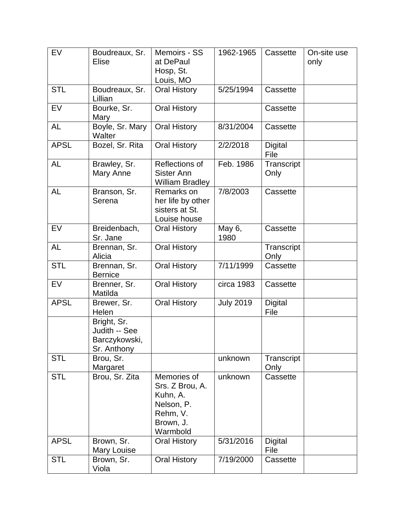| <b>EV</b>   | Boudreaux, Sr.                                               | Memoirs - SS                                                                                  | 1962-1965        | Cassette               | On-site use |
|-------------|--------------------------------------------------------------|-----------------------------------------------------------------------------------------------|------------------|------------------------|-------------|
|             | <b>Elise</b>                                                 | at DePaul<br>Hosp, St.                                                                        |                  |                        | only        |
|             |                                                              | Louis, MO                                                                                     |                  |                        |             |
| <b>STL</b>  | Boudreaux, Sr.<br>Lillian                                    | <b>Oral History</b>                                                                           | 5/25/1994        | Cassette               |             |
| <b>EV</b>   | Bourke, Sr.<br>Mary                                          | <b>Oral History</b>                                                                           |                  | Cassette               |             |
| AL          | Boyle, Sr. Mary<br>Walter                                    | <b>Oral History</b>                                                                           | 8/31/2004        | Cassette               |             |
| <b>APSL</b> | Bozel, Sr. Rita                                              | <b>Oral History</b>                                                                           | 2/2/2018         | <b>Digital</b><br>File |             |
| AL          | Brawley, Sr.<br>Mary Anne                                    | Reflections of<br><b>Sister Ann</b><br><b>William Bradley</b>                                 | Feb. 1986        | Transcript<br>Only     |             |
| AL          | Branson, Sr.<br>Serena                                       | Remarks on<br>her life by other<br>sisters at St.<br>Louise house                             | 7/8/2003         | Cassette               |             |
| <b>EV</b>   | Breidenbach,<br>Sr. Jane                                     | <b>Oral History</b>                                                                           | May 6,<br>1980   | Cassette               |             |
| <b>AL</b>   | Brennan, Sr.<br>Alicia                                       | <b>Oral History</b>                                                                           |                  | Transcript<br>Only     |             |
| <b>STL</b>  | Brennan, Sr.<br><b>Bernice</b>                               | <b>Oral History</b>                                                                           | 7/11/1999        | Cassette               |             |
| EV          | Brenner, Sr.<br>Matilda                                      | <b>Oral History</b>                                                                           | circa 1983       | Cassette               |             |
| <b>APSL</b> | Brewer, Sr.<br>Helen                                         | <b>Oral History</b>                                                                           | <b>July 2019</b> | Digital<br>File        |             |
|             | Bright, Sr.<br>Judith -- See<br>Barczykowski,<br>Sr. Anthony |                                                                                               |                  |                        |             |
| <b>STL</b>  | Brou, Sr.<br>Margaret                                        |                                                                                               | unknown          | Transcript<br>Only     |             |
| <b>STL</b>  | Brou, Sr. Zita                                               | Memories of<br>Srs. Z Brou, A.<br>Kuhn, A.<br>Nelson, P.<br>Rehm, V.<br>Brown, J.<br>Warmbold | unknown          | Cassette               |             |
| <b>APSL</b> | Brown, Sr.<br>Mary Louise                                    | Oral History                                                                                  | 5/31/2016        | <b>Digital</b><br>File |             |
| <b>STL</b>  | Brown, Sr.<br>Viola                                          | <b>Oral History</b>                                                                           | 7/19/2000        | Cassette               |             |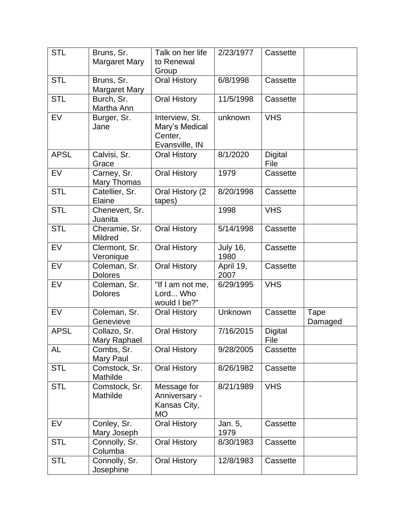| <b>STL</b>  | Bruns, Sr.<br><b>Margaret Mary</b> | Talk on her life<br>to Renewal<br>Group                       | 2/23/1977               | Cassette               |                 |
|-------------|------------------------------------|---------------------------------------------------------------|-------------------------|------------------------|-----------------|
| <b>STL</b>  | Bruns, Sr.<br><b>Margaret Mary</b> | <b>Oral History</b>                                           | 6/8/1998                | Cassette               |                 |
| <b>STL</b>  | Burch, Sr.<br>Martha Ann           | <b>Oral History</b>                                           | 11/5/1998               | Cassette               |                 |
| EV          | Burger, Sr.<br>Jane                | Interview, St.<br>Mary's Medical<br>Center,<br>Evansville, IN | unknown                 | <b>VHS</b>             |                 |
| <b>APSL</b> | Calvisi, Sr.<br>Grace              | <b>Oral History</b>                                           | 8/1/2020                | <b>Digital</b><br>File |                 |
| EV          | Carney, Sr.<br>Mary Thomas         | <b>Oral History</b>                                           | 1979                    | Cassette               |                 |
| <b>STL</b>  | Catellier, Sr.<br>Elaine           | Oral History (2<br>tapes)                                     | 8/20/1998               | Cassette               |                 |
| <b>STL</b>  | Chenevert, Sr.<br>Juanita          |                                                               | 1998                    | <b>VHS</b>             |                 |
| <b>STL</b>  | Cheramie, Sr.<br>Mildred           | <b>Oral History</b>                                           | 5/14/1998               | Cassette               |                 |
| <b>EV</b>   | Clermont, Sr.<br>Veronique         | <b>Oral History</b>                                           | <b>July 16,</b><br>1980 | Cassette               |                 |
| EV          | Coleman, Sr.<br><b>Dolores</b>     | <b>Oral History</b>                                           | April 19,<br>2007       | Cassette               |                 |
| EV          | Coleman, Sr.<br><b>Dolores</b>     | "If I am not me,<br>Lord Who<br>would I be?"                  | 6/29/1995               | <b>VHS</b>             |                 |
| EV          | Coleman, Sr.<br>Genevieve          | <b>Oral History</b>                                           | Unknown                 | Cassette               | Tape<br>Damaged |
| <b>APSL</b> | Collazo, Sr.<br>Mary Raphael       | <b>Oral History</b>                                           | 7/16/2015               | Digital<br>File        |                 |
| AL          | Combs, Sr.<br>Mary Paul            | <b>Oral History</b>                                           | 9/28/2005               | Cassette               |                 |
| <b>STL</b>  | Comstock, Sr.<br>Mathilde          | <b>Oral History</b>                                           | 8/26/1982               | Cassette               |                 |
| <b>STL</b>  | Comstock, Sr.<br>Mathilde          | Message for<br>Anniversary -<br>Kansas City,<br><b>MO</b>     | 8/21/1989               | <b>VHS</b>             |                 |
| <b>EV</b>   | Conley, Sr.<br>Mary Joseph         | <b>Oral History</b>                                           | Jan. 5,<br>1979         | Cassette               |                 |
| <b>STL</b>  | Connolly, Sr.<br>Columba           | <b>Oral History</b>                                           | 8/30/1983               | Cassette               |                 |
| <b>STL</b>  | Connolly, Sr.<br>Josephine         | <b>Oral History</b>                                           | 12/8/1983               | Cassette               |                 |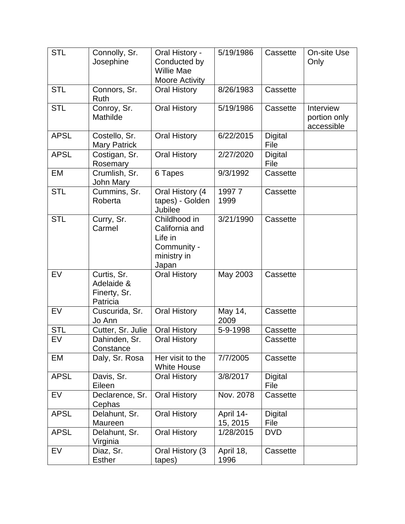| <b>STL</b>  | Connolly, Sr.<br>Josephine                            | Oral History -<br>Conducted by<br><b>Willie Mae</b><br>Moore Activity            | 5/19/1986             | Cassette               | On-site Use<br>Only                     |
|-------------|-------------------------------------------------------|----------------------------------------------------------------------------------|-----------------------|------------------------|-----------------------------------------|
| <b>STL</b>  | Connors, Sr.<br>Ruth                                  | <b>Oral History</b>                                                              | 8/26/1983             | Cassette               |                                         |
| <b>STL</b>  | Conroy, Sr.<br>Mathilde                               | <b>Oral History</b>                                                              | 5/19/1986             | Cassette               | Interview<br>portion only<br>accessible |
| <b>APSL</b> | Costello, Sr.<br><b>Mary Patrick</b>                  | <b>Oral History</b>                                                              | 6/22/2015             | Digital<br>File        |                                         |
| <b>APSL</b> | Costigan, Sr.<br>Rosemary                             | <b>Oral History</b>                                                              | 2/27/2020             | Digital<br>File        |                                         |
| EM          | Crumlish, Sr.<br>John Mary                            | 6 Tapes                                                                          | 9/3/1992              | Cassette               |                                         |
| <b>STL</b>  | Cummins, Sr.<br>Roberta                               | Oral History (4<br>tapes) - Golden<br>Jubilee                                    | 19977<br>1999         | Cassette               |                                         |
| <b>STL</b>  | Curry, Sr.<br>Carmel                                  | Childhood in<br>California and<br>Life in<br>Community -<br>ministry in<br>Japan | 3/21/1990             | Cassette               |                                         |
| <b>EV</b>   | Curtis, Sr.<br>Adelaide &<br>Finerty, Sr.<br>Patricia | <b>Oral History</b>                                                              | May 2003              | Cassette               |                                         |
| EV          | Cuscurida, Sr.<br>Jo Ann                              | <b>Oral History</b>                                                              | May 14,<br>2009       | Cassette               |                                         |
| <b>STL</b>  | Cutter, Sr. Julie                                     | <b>Oral History</b>                                                              | 5-9-1998              | Cassette               |                                         |
| <b>EV</b>   | Dahinden, Sr.<br>Constance                            | <b>Oral History</b>                                                              |                       | Cassette               |                                         |
| <b>EM</b>   | Daly, Sr. Rosa                                        | Her visit to the<br><b>White House</b>                                           | 7/7/2005              | Cassette               |                                         |
| <b>APSL</b> | Davis, Sr.<br>Eileen                                  | <b>Oral History</b>                                                              | 3/8/2017              | <b>Digital</b><br>File |                                         |
| EV          | Declarence, Sr.<br>Cephas                             | <b>Oral History</b>                                                              | Nov. 2078             | Cassette               |                                         |
| <b>APSL</b> | Delahunt, Sr.<br>Maureen                              | <b>Oral History</b>                                                              | April 14-<br>15, 2015 | Digital<br>File        |                                         |
| <b>APSL</b> | Delahunt, Sr.<br>Virginia                             | Oral History                                                                     | 1/28/2015             | <b>DVD</b>             |                                         |
| EV          | Diaz, Sr.<br><b>Esther</b>                            | Oral History (3)<br>tapes)                                                       | April 18,<br>1996     | Cassette               |                                         |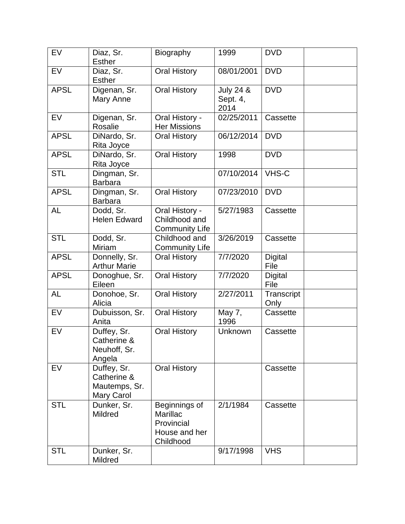| EV          | Diaz, Sr.<br><b>Esther</b>                                | Biography                                                             | 1999                                     | <b>DVD</b>             |  |
|-------------|-----------------------------------------------------------|-----------------------------------------------------------------------|------------------------------------------|------------------------|--|
| <b>EV</b>   | Diaz, Sr.<br><b>Esther</b>                                | <b>Oral History</b>                                                   | 08/01/2001                               | <b>DVD</b>             |  |
| <b>APSL</b> | Digenan, Sr.<br>Mary Anne                                 | <b>Oral History</b>                                                   | <b>July 24 &amp;</b><br>Sept. 4,<br>2014 | <b>DVD</b>             |  |
| EV          | Digenan, Sr.<br>Rosalie                                   | Oral History -<br><b>Her Missions</b>                                 | 02/25/2011                               | Cassette               |  |
| <b>APSL</b> | DiNardo, Sr.<br>Rita Joyce                                | Oral History                                                          | 06/12/2014                               | <b>DVD</b>             |  |
| <b>APSL</b> | DiNardo, Sr.<br>Rita Joyce                                | <b>Oral History</b>                                                   | 1998                                     | <b>DVD</b>             |  |
| <b>STL</b>  | Dingman, Sr.<br><b>Barbara</b>                            |                                                                       | 07/10/2014                               | VHS-C                  |  |
| <b>APSL</b> | Dingman, Sr.<br><b>Barbara</b>                            | <b>Oral History</b>                                                   | 07/23/2010                               | <b>DVD</b>             |  |
| <b>AL</b>   | Dodd, Sr.<br><b>Helen Edward</b>                          | Oral History -<br>Childhood and<br><b>Community Life</b>              | 5/27/1983                                | Cassette               |  |
| <b>STL</b>  | Dodd, Sr.<br>Miriam                                       | Childhood and<br><b>Community Life</b>                                | 3/26/2019                                | Cassette               |  |
| <b>APSL</b> | Donnelly, Sr.<br><b>Arthur Marie</b>                      | <b>Oral History</b>                                                   | 7/7/2020                                 | <b>Digital</b><br>File |  |
| <b>APSL</b> | Donoghue, Sr.<br>Eileen                                   | <b>Oral History</b>                                                   | 7/7/2020                                 | <b>Digital</b><br>File |  |
| <b>AL</b>   | Donohoe, Sr.<br>Alicia                                    | <b>Oral History</b>                                                   | 2/27/2011                                | Transcript<br>Only     |  |
| <b>EV</b>   | Dubuisson, Sr.<br>Anita                                   | <b>Oral History</b>                                                   | May 7,<br>1996                           | Cassette               |  |
| EV          | Duffey, Sr.<br>Catherine &<br>Neuhoff, Sr.<br>Angela      | <b>Oral History</b>                                                   | Unknown                                  | Cassette               |  |
| EV          | Duffey, Sr.<br>Catherine &<br>Mautemps, Sr.<br>Mary Carol | <b>Oral History</b>                                                   |                                          | Cassette               |  |
| <b>STL</b>  | Dunker, Sr.<br><b>Mildred</b>                             | Beginnings of<br>Marillac<br>Provincial<br>House and her<br>Childhood | 2/1/1984                                 | Cassette               |  |
| <b>STL</b>  | Dunker, Sr.<br>Mildred                                    |                                                                       | 9/17/1998                                | <b>VHS</b>             |  |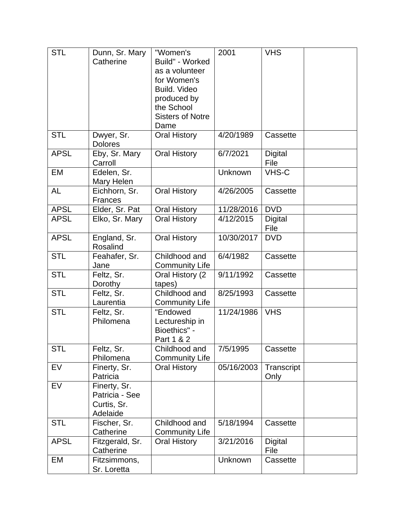| <b>STL</b>  | Dunn, Sr. Mary<br>Catherine                               | "Women's<br>Build" - Worked<br>as a volunteer<br>for Women's<br>Build. Video<br>produced by<br>the School | 2001       | <b>VHS</b>             |  |
|-------------|-----------------------------------------------------------|-----------------------------------------------------------------------------------------------------------|------------|------------------------|--|
|             |                                                           | <b>Sisters of Notre</b><br>Dame                                                                           |            |                        |  |
| <b>STL</b>  | Dwyer, Sr.<br><b>Dolores</b>                              | <b>Oral History</b>                                                                                       | 4/20/1989  | Cassette               |  |
| <b>APSL</b> | Eby, Sr. Mary<br>Carroll                                  | <b>Oral History</b>                                                                                       | 6/7/2021   | <b>Digital</b><br>File |  |
| EM          | Edelen, Sr.<br>Mary Helen                                 |                                                                                                           | Unknown    | <b>VHS-C</b>           |  |
| <b>AL</b>   | Eichhorn, Sr.<br><b>Frances</b>                           | <b>Oral History</b>                                                                                       | 4/26/2005  | Cassette               |  |
| <b>APSL</b> | Elder, Sr. Pat                                            | Oral History                                                                                              | 11/28/2016 | <b>DVD</b>             |  |
| <b>APSL</b> | Elko, Sr. Mary                                            | <b>Oral History</b>                                                                                       | 4/12/2015  | Digital<br>File        |  |
| <b>APSL</b> | England, Sr.<br>Rosalind                                  | <b>Oral History</b>                                                                                       | 10/30/2017 | <b>DVD</b>             |  |
| <b>STL</b>  | Feahafer, Sr.<br>Jane                                     | Childhood and<br><b>Community Life</b>                                                                    | 6/4/1982   | Cassette               |  |
| <b>STL</b>  | Feltz, Sr.<br>Dorothy                                     | Oral History (2<br>tapes)                                                                                 | 9/11/1992  | Cassette               |  |
| <b>STL</b>  | Feltz, Sr.<br>Laurentia                                   | Childhood and<br><b>Community Life</b>                                                                    | 8/25/1993  | Cassette               |  |
| <b>STL</b>  | Feltz, Sr.<br>Philomena                                   | "Endowed<br>Lectureship in<br>Bioethics" -<br>Part 1 & 2                                                  | 11/24/1986 | <b>VHS</b>             |  |
| <b>STL</b>  | Feltz, Sr.<br>Philomena                                   | Childhood and<br><b>Community Life</b>                                                                    | 7/5/1995   | Cassette               |  |
| EV          | Finerty, Sr.<br>Patricia                                  | <b>Oral History</b>                                                                                       | 05/16/2003 | Transcript<br>Only     |  |
| EV          | Finerty, Sr.<br>Patricia - See<br>Curtis, Sr.<br>Adelaide |                                                                                                           |            |                        |  |
| <b>STL</b>  | Fischer, Sr.<br>Catherine                                 | Childhood and<br><b>Community Life</b>                                                                    | 5/18/1994  | Cassette               |  |
| <b>APSL</b> | Fitzgerald, Sr.<br>Catherine                              | <b>Oral History</b>                                                                                       | 3/21/2016  | Digital<br>File        |  |
| EM          | Fitzsimmons,<br>Sr. Loretta                               |                                                                                                           | Unknown    | Cassette               |  |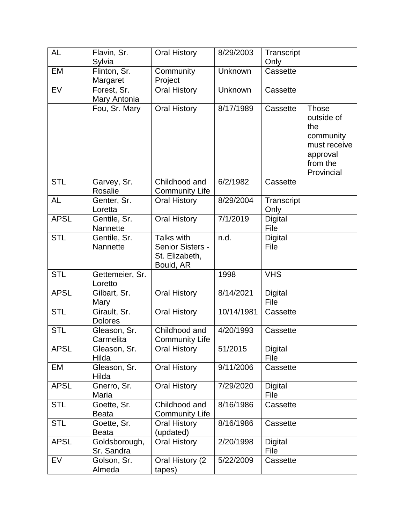| <b>AL</b>   | Flavin, Sr.                     | <b>Oral History</b>                                           | 8/29/2003  | Transcript             |                                                                                               |
|-------------|---------------------------------|---------------------------------------------------------------|------------|------------------------|-----------------------------------------------------------------------------------------------|
|             | Sylvia                          |                                                               |            | Only                   |                                                                                               |
| <b>EM</b>   | Flinton, Sr.                    | Community                                                     | Unknown    | Cassette               |                                                                                               |
|             | Margaret                        | Project                                                       |            |                        |                                                                                               |
| EV          | Forest, Sr.                     | <b>Oral History</b>                                           | Unknown    | Cassette               |                                                                                               |
|             | Mary Antonia                    |                                                               |            |                        |                                                                                               |
|             | Fou, Sr. Mary                   | <b>Oral History</b>                                           | 8/17/1989  | Cassette               | Those<br>outside of<br>the<br>community<br>must receive<br>approval<br>from the<br>Provincial |
| <b>STL</b>  | Garvey, Sr.<br>Rosalie          | Childhood and<br><b>Community Life</b>                        | 6/2/1982   | Cassette               |                                                                                               |
| <b>AL</b>   | Genter, Sr.<br>Loretta          | <b>Oral History</b>                                           | 8/29/2004  | Transcript<br>Only     |                                                                                               |
| <b>APSL</b> | Gentile, Sr.<br><b>Nannette</b> | <b>Oral History</b>                                           | 7/1/2019   | <b>Digital</b><br>File |                                                                                               |
| <b>STL</b>  | Gentile, Sr.<br><b>Nannette</b> | Talks with<br>Senior Sisters -<br>St. Elizabeth,<br>Bould, AR | n.d.       | Digital<br>File        |                                                                                               |
| <b>STL</b>  | Gettemeier, Sr.<br>Loretto      |                                                               | 1998       | <b>VHS</b>             |                                                                                               |
| <b>APSL</b> | Gilbart, Sr.<br>Mary            | <b>Oral History</b>                                           | 8/14/2021  | Digital<br>File        |                                                                                               |
| <b>STL</b>  | Girault, Sr.<br><b>Dolores</b>  | <b>Oral History</b>                                           | 10/14/1981 | Cassette               |                                                                                               |
| <b>STL</b>  | Gleason, Sr.<br>Carmelita       | Childhood and<br><b>Community Life</b>                        | 4/20/1993  | Cassette               |                                                                                               |
| <b>APSL</b> | Gleason, Sr.<br>Hilda           | <b>Oral History</b>                                           | 51/2015    | Digital<br>File        |                                                                                               |
| EM          | Gleason, Sr.<br>Hilda           | <b>Oral History</b>                                           | 9/11/2006  | Cassette               |                                                                                               |
| <b>APSL</b> | Gnerro, Sr.<br>Maria            | <b>Oral History</b>                                           | 7/29/2020  | Digital<br>File        |                                                                                               |
| <b>STL</b>  | Goette, Sr.<br><b>Beata</b>     | Childhood and<br><b>Community Life</b>                        | 8/16/1986  | Cassette               |                                                                                               |
| <b>STL</b>  | Goette, Sr.<br><b>Beata</b>     | <b>Oral History</b><br>(updated)                              | 8/16/1986  | Cassette               |                                                                                               |
| <b>APSL</b> | Goldsborough,<br>Sr. Sandra     | <b>Oral History</b>                                           | 2/20/1998  | Digital<br>File        |                                                                                               |
| EV          | Golson, Sr.<br>Almeda           | Oral History (2)<br>tapes)                                    | 5/22/2009  | Cassette               |                                                                                               |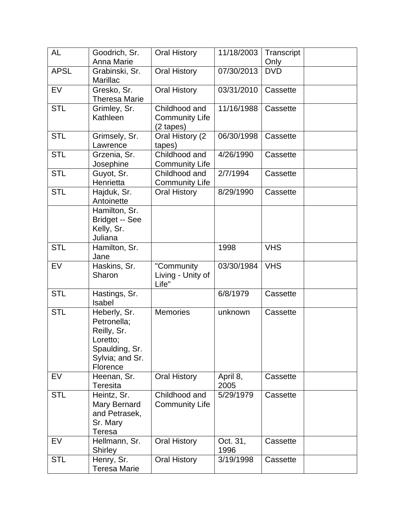| <b>AL</b>   | Goodrich, Sr.<br>Anna Marie                                                                             | <b>Oral History</b>                                 | 11/18/2003       | Transcript<br>Only |  |
|-------------|---------------------------------------------------------------------------------------------------------|-----------------------------------------------------|------------------|--------------------|--|
| <b>APSL</b> | Grabinski, Sr.<br>Marillac                                                                              | <b>Oral History</b>                                 | 07/30/2013       | <b>DVD</b>         |  |
| EV          | Gresko, Sr.<br><b>Theresa Marie</b>                                                                     | <b>Oral History</b>                                 | 03/31/2010       | Cassette           |  |
| <b>STL</b>  | Grimley, Sr.<br>Kathleen                                                                                | Childhood and<br><b>Community Life</b><br>(2 tapes) | 11/16/1988       | Cassette           |  |
| <b>STL</b>  | Grimsely, Sr.<br>Lawrence                                                                               | Oral History (2<br>tapes)                           | 06/30/1998       | Cassette           |  |
| <b>STL</b>  | Grzenia, Sr.<br>Josephine                                                                               | Childhood and<br><b>Community Life</b>              | 4/26/1990        | Cassette           |  |
| <b>STL</b>  | Guyot, Sr.<br>Henrietta                                                                                 | Childhood and<br><b>Community Life</b>              | 2/7/1994         | Cassette           |  |
| <b>STL</b>  | Hajduk, Sr.<br>Antoinette                                                                               | <b>Oral History</b>                                 | 8/29/1990        | Cassette           |  |
|             | Hamilton, Sr.<br><b>Bridget -- See</b><br>Kelly, Sr.<br>Juliana                                         |                                                     |                  |                    |  |
| <b>STL</b>  | Hamilton, Sr.<br>Jane                                                                                   |                                                     | 1998             | <b>VHS</b>         |  |
| EV          | Haskins, Sr.<br>Sharon                                                                                  | "Community<br>Living - Unity of<br>Life"            | 03/30/1984       | <b>VHS</b>         |  |
| <b>STL</b>  | Hastings, Sr.<br>Isabel                                                                                 |                                                     | 6/8/1979         | Cassette           |  |
| <b>STL</b>  | Heberly, Sr.<br>Petronella;<br>Reilly, Sr.<br>Loretto;<br>Spaulding, Sr.<br>Sylvia; and Sr.<br>Florence | <b>Memories</b>                                     | unknown          | Cassette           |  |
| <b>EV</b>   | Heenan, Sr.<br>Teresita                                                                                 | <b>Oral History</b>                                 | April 8,<br>2005 | Cassette           |  |
| <b>STL</b>  | Heintz, Sr.<br>Mary Bernard<br>and Petrasek,<br>Sr. Mary<br>Teresa                                      | Childhood and<br><b>Community Life</b>              | 5/29/1979        | Cassette           |  |
| EV          | Hellmann, Sr.<br><b>Shirley</b>                                                                         | <b>Oral History</b>                                 | Oct. 31,<br>1996 | Cassette           |  |
| <b>STL</b>  | Henry, Sr.<br><b>Teresa Marie</b>                                                                       | Oral History                                        | 3/19/1998        | Cassette           |  |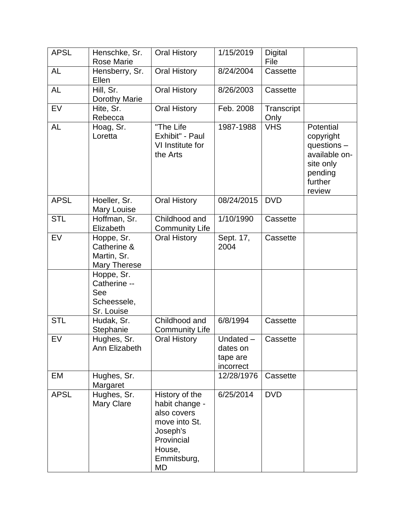| <b>APSL</b> | Henschke, Sr.<br><b>Rose Marie</b>                             | <b>Oral History</b>                                                                                                       | 1/15/2019                                     | Digital<br>File    |                                                                                                     |
|-------------|----------------------------------------------------------------|---------------------------------------------------------------------------------------------------------------------------|-----------------------------------------------|--------------------|-----------------------------------------------------------------------------------------------------|
| <b>AL</b>   | Hensberry, Sr.<br>Ellen                                        | <b>Oral History</b>                                                                                                       | 8/24/2004                                     | Cassette           |                                                                                                     |
| <b>AL</b>   | Hill, Sr.<br>Dorothy Marie                                     | <b>Oral History</b>                                                                                                       | 8/26/2003                                     | Cassette           |                                                                                                     |
| EV          | Hite, Sr.<br>Rebecca                                           | <b>Oral History</b>                                                                                                       | Feb. 2008                                     | Transcript<br>Only |                                                                                                     |
| <b>AL</b>   | Hoag, Sr.<br>Loretta                                           | "The Life<br>Exhibit" - Paul<br>VI Institute for<br>the Arts                                                              | 1987-1988                                     | <b>VHS</b>         | Potential<br>copyright<br>questions -<br>available on-<br>site only<br>pending<br>further<br>review |
| <b>APSL</b> | Hoeller, Sr.<br><b>Mary Louise</b>                             | <b>Oral History</b>                                                                                                       | 08/24/2015                                    | <b>DVD</b>         |                                                                                                     |
| <b>STL</b>  | Hoffman, Sr.<br>Elizabeth                                      | Childhood and<br><b>Community Life</b>                                                                                    | 1/10/1990                                     | Cassette           |                                                                                                     |
| EV          | Hoppe, Sr.<br>Catherine &<br>Martin, Sr.<br>Mary Therese       | <b>Oral History</b>                                                                                                       | Sept. 17,<br>2004                             | Cassette           |                                                                                                     |
|             | Hoppe, Sr.<br>Catherine --<br>See<br>Scheessele,<br>Sr. Louise |                                                                                                                           |                                               |                    |                                                                                                     |
| <b>STL</b>  | Hudak, Sr.<br>Stephanie                                        | Childhood and<br><b>Community Life</b>                                                                                    | 6/8/1994                                      | Cassette           |                                                                                                     |
| EV          | Hughes, Sr.<br>Ann Elizabeth                                   | <b>Oral History</b>                                                                                                       | Undated-<br>dates on<br>tape are<br>incorrect | Cassette           |                                                                                                     |
| EM          | Hughes, Sr.<br>Margaret                                        |                                                                                                                           | 12/28/1976                                    | Cassette           |                                                                                                     |
| <b>APSL</b> | Hughes, Sr.<br>Mary Clare                                      | History of the<br>habit change -<br>also covers<br>move into St.<br>Joseph's<br>Provincial<br>House,<br>Emmitsburg,<br>MD | 6/25/2014                                     | <b>DVD</b>         |                                                                                                     |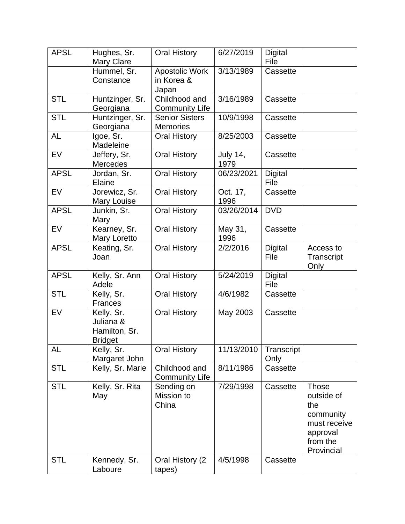| <b>APSL</b> | Hughes, Sr.<br><b>Mary Clare</b>                           | <b>Oral History</b>                      | 6/27/2019               | Digital<br>File        |                                                                                                      |
|-------------|------------------------------------------------------------|------------------------------------------|-------------------------|------------------------|------------------------------------------------------------------------------------------------------|
|             | Hummel, Sr.<br>Constance                                   | Apostolic Work<br>in Korea &<br>Japan    | 3/13/1989               | Cassette               |                                                                                                      |
| <b>STL</b>  | Huntzinger, Sr.<br>Georgiana                               | Childhood and<br><b>Community Life</b>   | 3/16/1989               | Cassette               |                                                                                                      |
| <b>STL</b>  | Huntzinger, Sr.<br>Georgiana                               | <b>Senior Sisters</b><br><b>Memories</b> | 10/9/1998               | Cassette               |                                                                                                      |
| AL          | Igoe, Sr.<br>Madeleine                                     | <b>Oral History</b>                      | 8/25/2003               | Cassette               |                                                                                                      |
| <b>EV</b>   | Jeffery, Sr.<br><b>Mercedes</b>                            | <b>Oral History</b>                      | <b>July 14,</b><br>1979 | Cassette               |                                                                                                      |
| <b>APSL</b> | Jordan, Sr.<br>Elaine                                      | <b>Oral History</b>                      | 06/23/2021              | <b>Digital</b><br>File |                                                                                                      |
| <b>EV</b>   | Jorewicz, Sr.<br><b>Mary Louise</b>                        | <b>Oral History</b>                      | Oct. 17,<br>1996        | Cassette               |                                                                                                      |
| <b>APSL</b> | Junkin, Sr.<br>Mary                                        | <b>Oral History</b>                      | 03/26/2014              | <b>DVD</b>             |                                                                                                      |
| EV          | Kearney, Sr.<br>Mary Loretto                               | <b>Oral History</b>                      | May 31,<br>1996         | Cassette               |                                                                                                      |
| <b>APSL</b> | Keating, Sr.<br>Joan                                       | <b>Oral History</b>                      | 2/2/2016                | <b>Digital</b><br>File | Access to<br>Transcript<br>Only                                                                      |
| <b>APSL</b> | Kelly, Sr. Ann<br>Adele                                    | Oral History                             | 5/24/2019               | <b>Digital</b><br>File |                                                                                                      |
| <b>STL</b>  | Kelly, Sr.<br>Frances                                      | <b>Oral History</b>                      | 4/6/1982                | Cassette               |                                                                                                      |
| EV          | Kelly, Sr.<br>Juliana &<br>Hamilton, Sr.<br><b>Bridget</b> | <b>Oral History</b>                      | May 2003                | Cassette               |                                                                                                      |
| AL          | Kelly, Sr.<br>Margaret John                                | <b>Oral History</b>                      | 11/13/2010              | Transcript<br>Only     |                                                                                                      |
| <b>STL</b>  | Kelly, Sr. Marie                                           | Childhood and<br><b>Community Life</b>   | 8/11/1986               | Cassette               |                                                                                                      |
| <b>STL</b>  | Kelly, Sr. Rita<br>May                                     | Sending on<br>Mission to<br>China        | 7/29/1998               | Cassette               | <b>Those</b><br>outside of<br>the<br>community<br>must receive<br>approval<br>from the<br>Provincial |
| <b>STL</b>  | Kennedy, Sr.<br>Laboure                                    | Oral History (2)<br>tapes)               | 4/5/1998                | Cassette               |                                                                                                      |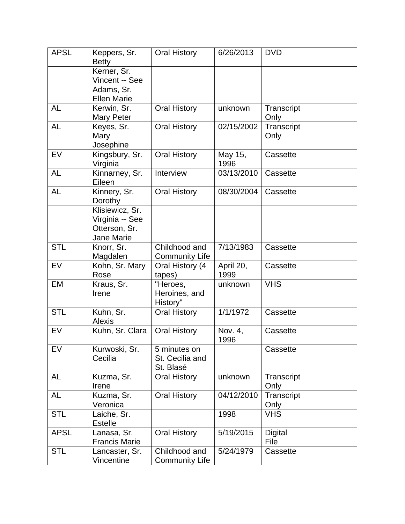| <b>APSL</b> | Keppers, Sr.<br><b>Betty</b>                                      | <b>Oral History</b>                          | 6/26/2013         | <b>DVD</b>             |  |
|-------------|-------------------------------------------------------------------|----------------------------------------------|-------------------|------------------------|--|
|             | Kerner, Sr.<br>Vincent -- See<br>Adams, Sr.<br><b>Ellen Marie</b> |                                              |                   |                        |  |
| <b>AL</b>   | Kerwin, Sr.<br>Mary Peter                                         | <b>Oral History</b>                          | unknown           | Transcript<br>Only     |  |
| <b>AL</b>   | Keyes, Sr.<br>Mary<br>Josephine                                   | <b>Oral History</b>                          | 02/15/2002        | Transcript<br>Only     |  |
| <b>EV</b>   | Kingsbury, Sr.<br>Virginia                                        | <b>Oral History</b>                          | May 15,<br>1996   | Cassette               |  |
| <b>AL</b>   | Kinnarney, Sr.<br>Eileen                                          | Interview                                    | 03/13/2010        | Cassette               |  |
| <b>AL</b>   | Kinnery, Sr.<br>Dorothy                                           | <b>Oral History</b>                          | 08/30/2004        | Cassette               |  |
|             | Klisiewicz, Sr.<br>Virginia -- See<br>Otterson, Sr.<br>Jane Marie |                                              |                   |                        |  |
| <b>STL</b>  | Knorr, Sr.<br>Magdalen                                            | Childhood and<br><b>Community Life</b>       | 7/13/1983         | Cassette               |  |
| EV          | Kohn, Sr. Mary<br>Rose                                            | Oral History (4<br>tapes)                    | April 20,<br>1999 | Cassette               |  |
| EM          | Kraus, Sr.<br>Irene                                               | "Heroes,<br>Heroines, and<br>History"        | unknown           | <b>VHS</b>             |  |
| <b>STL</b>  | Kuhn, Sr.<br><b>Alexis</b>                                        | <b>Oral History</b>                          | 1/1/1972          | Cassette               |  |
| EV          | Kuhn, Sr. Clara                                                   | <b>Oral History</b>                          | Nov. 4,<br>1996   | Cassette               |  |
| EV          | Kurwoski, Sr.<br>Cecilia                                          | 5 minutes on<br>St. Cecilia and<br>St. Blasé |                   | Cassette               |  |
| AL          | Kuzma, Sr.<br>Irene                                               | <b>Oral History</b>                          | unknown           | Transcript<br>Only     |  |
| <b>AL</b>   | Kuzma, Sr.<br>Veronica                                            | <b>Oral History</b>                          | 04/12/2010        | Transcript<br>Only     |  |
| <b>STL</b>  | Laiche, Sr.<br><b>Estelle</b>                                     |                                              | 1998              | <b>VHS</b>             |  |
| <b>APSL</b> | Lanasa, Sr.<br><b>Francis Marie</b>                               | <b>Oral History</b>                          | 5/19/2015         | <b>Digital</b><br>File |  |
| <b>STL</b>  | Lancaster, Sr.<br>Vincentine                                      | Childhood and<br><b>Community Life</b>       | 5/24/1979         | Cassette               |  |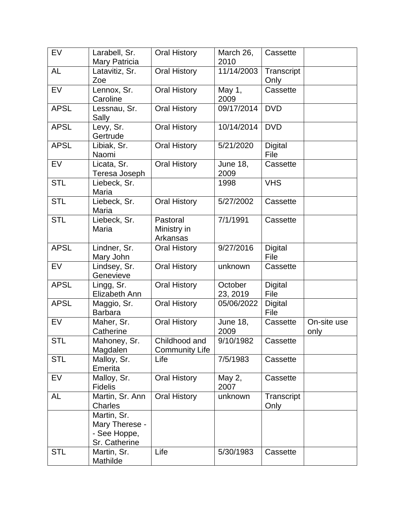| EV          | Larabell, Sr.<br>Mary Patricia                                 | <b>Oral History</b>                    | March 26,<br>2010       | Cassette               |                     |
|-------------|----------------------------------------------------------------|----------------------------------------|-------------------------|------------------------|---------------------|
| <b>AL</b>   | Latavitiz, Sr.<br>Zoe                                          | <b>Oral History</b>                    | 11/14/2003              | Transcript<br>Only     |                     |
| EV          | Lennox, Sr.<br>Caroline                                        | <b>Oral History</b>                    | May 1,<br>2009          | Cassette               |                     |
| <b>APSL</b> | Lessnau, Sr.<br>Sally                                          | <b>Oral History</b>                    | 09/17/2014              | <b>DVD</b>             |                     |
| <b>APSL</b> | Levy, Sr.<br>Gertrude                                          | <b>Oral History</b>                    | 10/14/2014              | <b>DVD</b>             |                     |
| <b>APSL</b> | Libiak, Sr.<br>Naomi                                           | <b>Oral History</b>                    | 5/21/2020               | <b>Digital</b><br>File |                     |
| EV          | Licata, Sr.<br>Teresa Joseph                                   | <b>Oral History</b>                    | <b>June 18,</b><br>2009 | Cassette               |                     |
| <b>STL</b>  | Liebeck, Sr.<br>Maria                                          |                                        | 1998                    | <b>VHS</b>             |                     |
| <b>STL</b>  | Liebeck, Sr.<br>Maria                                          | <b>Oral History</b>                    | 5/27/2002               | Cassette               |                     |
| <b>STL</b>  | Liebeck, Sr.<br>Maria                                          | Pastoral<br>Ministry in<br>Arkansas    | 7/1/1991                | Cassette               |                     |
| <b>APSL</b> | Lindner, Sr.<br>Mary John                                      | <b>Oral History</b>                    | 9/27/2016               | <b>Digital</b><br>File |                     |
| <b>EV</b>   | Lindsey, Sr.<br>Genevieve                                      | <b>Oral History</b>                    | unknown                 | Cassette               |                     |
| <b>APSL</b> | Lingg, Sr.<br>Elizabeth Ann                                    | <b>Oral History</b>                    | October<br>23, 2019     | <b>Digital</b><br>File |                     |
| <b>APSL</b> | Maggio, Sr.<br><b>Barbara</b>                                  | <b>Oral History</b>                    | 05/06/2022              | Digital<br>File        |                     |
| <b>EV</b>   | Maher, Sr.<br>Catherine                                        | <b>Oral History</b>                    | <b>June 18,</b><br>2009 | Cassette               | On-site use<br>only |
| <b>STL</b>  | Mahoney, Sr.<br>Magdalen                                       | Childhood and<br><b>Community Life</b> | 9/10/1982               | Cassette               |                     |
| <b>STL</b>  | Malloy, Sr.<br>Emerita                                         | Life                                   | 7/5/1983                | Cassette               |                     |
| <b>EV</b>   | Malloy, Sr.<br><b>Fidelis</b>                                  | <b>Oral History</b>                    | May 2,<br>2007          | Cassette               |                     |
| AL          | Martin, Sr. Ann<br>Charles                                     | <b>Oral History</b>                    | unknown                 | Transcript<br>Only     |                     |
|             | Martin, Sr.<br>Mary Therese -<br>- See Hoppe,<br>Sr. Catherine |                                        |                         |                        |                     |
| <b>STL</b>  | Martin, Sr.<br>Mathilde                                        | Life                                   | 5/30/1983               | Cassette               |                     |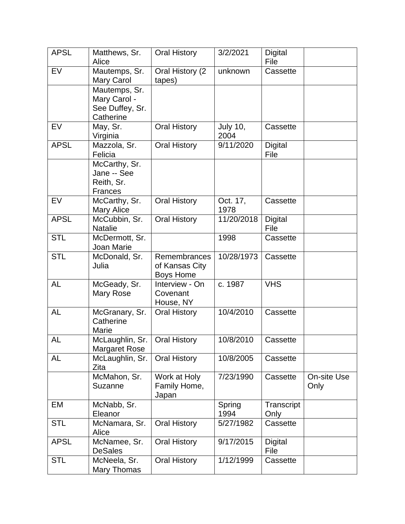| <b>APSL</b> | Matthews, Sr.                                                 | <b>Oral History</b>                                | 3/2/2021                | Digital                |                     |
|-------------|---------------------------------------------------------------|----------------------------------------------------|-------------------------|------------------------|---------------------|
|             | Alice                                                         |                                                    |                         | File                   |                     |
| EV          | Mautemps, Sr.<br><b>Mary Carol</b>                            | Oral History (2<br>tapes)                          | unknown                 | Cassette               |                     |
|             | Mautemps, Sr.<br>Mary Carol -<br>See Duffey, Sr.<br>Catherine |                                                    |                         |                        |                     |
| EV          | May, Sr.<br>Virginia                                          | <b>Oral History</b>                                | <b>July 10,</b><br>2004 | Cassette               |                     |
| <b>APSL</b> | Mazzola, Sr.<br>Felicia                                       | <b>Oral History</b>                                | 9/11/2020               | <b>Digital</b><br>File |                     |
|             | McCarthy, Sr.<br>Jane -- See<br>Reith, Sr.<br><b>Frances</b>  |                                                    |                         |                        |                     |
| EV          | McCarthy, Sr.<br>Mary Alice                                   | <b>Oral History</b>                                | Oct. 17,<br>1978        | Cassette               |                     |
| <b>APSL</b> | McCubbin, Sr.<br><b>Natalie</b>                               | <b>Oral History</b>                                | 11/20/2018              | Digital<br>File        |                     |
| STL         | McDermott, Sr.<br>Joan Marie                                  |                                                    | 1998                    | Cassette               |                     |
| <b>STL</b>  | McDonald, Sr.<br>Julia                                        | Remembrances<br>of Kansas City<br><b>Boys Home</b> | 10/28/1973              | Cassette               |                     |
| <b>AL</b>   | McGeady, Sr.<br><b>Mary Rose</b>                              | Interview - On<br>Covenant<br>House, NY            | c. 1987                 | <b>VHS</b>             |                     |
| <b>AL</b>   | McGranary, Sr.<br>Catherine<br>Marie                          | <b>Oral History</b>                                | 10/4/2010               | Cassette               |                     |
| <b>AL</b>   | McLaughlin, Sr.<br><b>Margaret Rose</b>                       | <b>Oral History</b>                                | 10/8/2010               | Cassette               |                     |
| <b>AL</b>   | McLaughlin, Sr.<br>Zita                                       | <b>Oral History</b>                                | 10/8/2005               | Cassette               |                     |
|             | McMahon, Sr.<br>Suzanne                                       | Work at Holy<br>Family Home,<br>Japan              | 7/23/1990               | Cassette               | On-site Use<br>Only |
| EM          | McNabb, Sr.<br>Eleanor                                        |                                                    | Spring<br>1994          | Transcript<br>Only     |                     |
| <b>STL</b>  | McNamara, Sr.<br>Alice                                        | <b>Oral History</b>                                | 5/27/1982               | Cassette               |                     |
| <b>APSL</b> | McNamee, Sr.<br><b>DeSales</b>                                | <b>Oral History</b>                                | 9/17/2015               | Digital<br>File        |                     |
| <b>STL</b>  | McNeela, Sr.<br>Mary Thomas                                   | <b>Oral History</b>                                | 1/12/1999               | Cassette               |                     |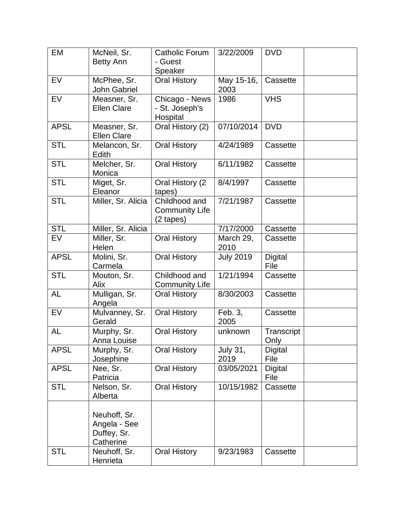| <b>EM</b>   | McNeil, Sr.<br><b>Betty Ann</b>                          | <b>Catholic Forum</b><br>- Guest                              | 3/22/2009               | <b>DVD</b>             |  |
|-------------|----------------------------------------------------------|---------------------------------------------------------------|-------------------------|------------------------|--|
|             |                                                          | Speaker                                                       |                         |                        |  |
| EV          | McPhee, Sr.<br><b>John Gabriel</b>                       | <b>Oral History</b>                                           | May 15-16,<br>2003      | Cassette               |  |
| EV          | Measner, Sr.<br><b>Ellen Clare</b>                       | Chicago - News<br>- St. Joseph's<br>Hospital                  | 1986                    | <b>VHS</b>             |  |
| <b>APSL</b> | Measner, Sr.<br><b>Ellen Clare</b>                       | Oral History (2)                                              | 07/10/2014              | <b>DVD</b>             |  |
| <b>STL</b>  | Melancon, Sr.<br>Edith                                   | <b>Oral History</b>                                           | 4/24/1989               | Cassette               |  |
| <b>STL</b>  | Melcher, Sr.<br>Monica                                   | <b>Oral History</b>                                           | 6/11/1982               | Cassette               |  |
| <b>STL</b>  | Miget, Sr.<br>Eleanor                                    | Oral History (2<br>tapes)                                     | 8/4/1997                | Cassette               |  |
| <b>STL</b>  | Miller, Sr. Alicia                                       | Childhood and<br><b>Community Life</b><br>$(2 \text{ tapes})$ | 7/21/1987               | Cassette               |  |
| <b>STL</b>  | Miller, Sr. Alicia                                       |                                                               | 7/17/2000               | Cassette               |  |
| EV          | Miller, Sr.<br>Helen                                     | <b>Oral History</b>                                           | March 29,<br>2010       | Cassette               |  |
| <b>APSL</b> | Molini, Sr.<br>Carmela                                   | <b>Oral History</b>                                           | <b>July 2019</b>        | <b>Digital</b><br>File |  |
| <b>STL</b>  | Mouton, Sr.<br>Alix                                      | Childhood and<br><b>Community Life</b>                        | 1/21/1994               | Cassette               |  |
| <b>AL</b>   | Mulligan, Sr.<br>Angela                                  | <b>Oral History</b>                                           | 8/30/2003               | Cassette               |  |
| EV          | Mulvanney, Sr.<br>Gerald                                 | <b>Oral History</b>                                           | Feb. 3,<br>2005         | Cassette               |  |
| <b>AL</b>   | Murphy, Sr.<br>Anna Louise                               | <b>Oral History</b>                                           | unknown                 | Transcript<br>Only     |  |
| <b>APSL</b> | Murphy, Sr.<br>Josephine                                 | <b>Oral History</b>                                           | <b>July 31,</b><br>2019 | <b>Digital</b><br>File |  |
| <b>APSL</b> | Nee, Sr.<br>Patricia                                     | <b>Oral History</b>                                           | 03/05/2021              | <b>Digital</b><br>File |  |
| <b>STL</b>  | Nelson, Sr.<br>Alberta                                   | Oral History                                                  | 10/15/1982              | Cassette               |  |
|             | Neuhoff, Sr.<br>Angela - See<br>Duffey, Sr.<br>Catherine |                                                               |                         |                        |  |
| <b>STL</b>  | Neuhoff, Sr.<br>Henrieta                                 | <b>Oral History</b>                                           | 9/23/1983               | Cassette               |  |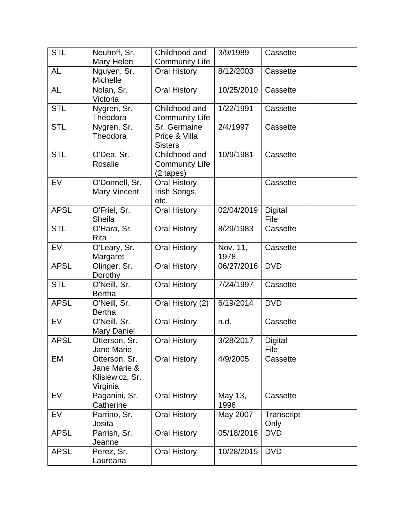| <b>STL</b>  | Neuhoff, Sr.<br>Mary Helen                                   | Childhood and<br><b>Community Life</b>                        | 3/9/1989         | Cassette               |  |
|-------------|--------------------------------------------------------------|---------------------------------------------------------------|------------------|------------------------|--|
| <b>AL</b>   | Nguyen, Sr.<br>Michelle                                      | <b>Oral History</b>                                           | 8/12/2003        | Cassette               |  |
| <b>AL</b>   | Nolan, Sr.<br>Victoria                                       | <b>Oral History</b>                                           | 10/25/2010       | Cassette               |  |
| <b>STL</b>  | Nygren, Sr.<br>Theodora                                      | Childhood and<br><b>Community Life</b>                        | 1/22/1991        | Cassette               |  |
| <b>STL</b>  | Nygren, Sr.<br>Theodora                                      | Sr. Germaine<br>Price & Villa<br><b>Sisters</b>               | 2/4/1997         | Cassette               |  |
| <b>STL</b>  | O'Dea, Sr.<br>Rosalie                                        | Childhood and<br><b>Community Life</b><br>$(2 \text{ tapes})$ | 10/9/1981        | Cassette               |  |
| EV          | O'Donnell, Sr.<br><b>Mary Vincent</b>                        | Oral History,<br>Irish Songs,<br>etc.                         |                  | Cassette               |  |
| <b>APSL</b> | O'Friel, Sr.<br>Sheila                                       | <b>Oral History</b>                                           | 02/04/2019       | <b>Digital</b><br>File |  |
| <b>STL</b>  | O'Hara, Sr.<br>Rita                                          | <b>Oral History</b>                                           | 8/29/1983        | Cassette               |  |
| EV          | O'Leary, Sr.<br>Margaret                                     | <b>Oral History</b>                                           | Nov. 11,<br>1978 | Cassette               |  |
| <b>APSL</b> | Olinger, Sr.<br>Dorothy                                      | <b>Oral History</b>                                           | 06/27/2016       | <b>DVD</b>             |  |
| <b>STL</b>  | O'Neill, Sr.<br><b>Bertha</b>                                | <b>Oral History</b>                                           | 7/24/1997        | Cassette               |  |
| <b>APSL</b> | O'Neill, Sr.<br><b>Bertha</b>                                | Oral History (2)                                              | 6/19/2014        | <b>DVD</b>             |  |
| <b>EV</b>   | O'Neill, Sr.<br><b>Mary Daniel</b>                           | <b>Oral History</b>                                           | n.d.             | Cassette               |  |
| <b>APSL</b> | Otterson, Sr.<br>Jane Marie                                  | <b>Oral History</b>                                           | 3/28/2017        | <b>Digital</b><br>File |  |
| EM          | Otterson, Sr.<br>Jane Marie &<br>Klisiewicz, Sr.<br>Virginia | <b>Oral History</b>                                           | 4/9/2005         | Cassette               |  |
| EV          | Paganini, Sr.<br>Catherine                                   | <b>Oral History</b>                                           | May 13,<br>1996  | Cassette               |  |
| EV          | Parrino, Sr.<br>Josita                                       | <b>Oral History</b>                                           | May 2007         | Transcript<br>Only     |  |
| <b>APSL</b> | Parrish, Sr.<br>Jeanne                                       | <b>Oral History</b>                                           | 05/18/2016       | <b>DVD</b>             |  |
| <b>APSL</b> | Perez, Sr.<br>Laureana                                       | <b>Oral History</b>                                           | 10/28/2015       | <b>DVD</b>             |  |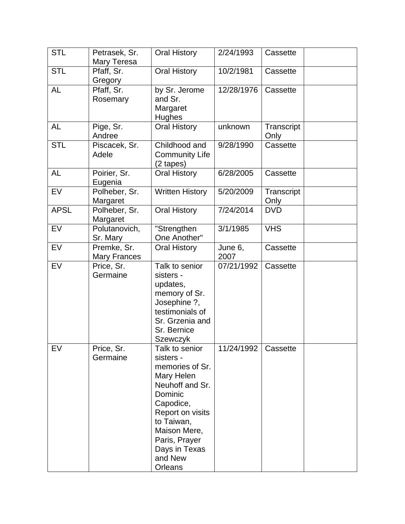| <b>STL</b>  | Petrasek, Sr.         | <b>Oral History</b>           | 2/24/1993  | Cassette   |  |
|-------------|-----------------------|-------------------------------|------------|------------|--|
|             | Mary Teresa           |                               |            |            |  |
| <b>STL</b>  | Pfaff, Sr.            | <b>Oral History</b>           | 10/2/1981  | Cassette   |  |
| <b>AL</b>   | Gregory<br>Pfaff, Sr. |                               | 12/28/1976 |            |  |
|             |                       | by Sr. Jerome<br>and Sr.      |            | Cassette   |  |
|             | Rosemary              | Margaret                      |            |            |  |
|             |                       | Hughes                        |            |            |  |
| AL          | Pige, Sr.             | <b>Oral History</b>           | unknown    | Transcript |  |
|             | Andree                |                               |            | Only       |  |
| <b>STL</b>  | Piscacek, Sr.         | Childhood and                 | 9/28/1990  | Cassette   |  |
|             | Adele                 | <b>Community Life</b>         |            |            |  |
|             |                       | $(2 \text{ tapes})$           |            |            |  |
| <b>AL</b>   | Poirier, Sr.          | <b>Oral History</b>           | 6/28/2005  | Cassette   |  |
|             | Eugenia               |                               |            |            |  |
| EV          | Polheber, Sr.         | Written History               | 5/20/2009  | Transcript |  |
|             | Margaret              |                               |            | Only       |  |
| <b>APSL</b> | Polheber, Sr.         | <b>Oral History</b>           | 7/24/2014  | <b>DVD</b> |  |
|             | Margaret              |                               |            |            |  |
| <b>EV</b>   | Polutanovich,         | "Strengthen                   | 3/1/1985   | <b>VHS</b> |  |
|             | Sr. Mary              | One Another"                  |            |            |  |
| <b>EV</b>   | Premke, Sr.           | <b>Oral History</b>           | June 6,    | Cassette   |  |
|             | <b>Mary Frances</b>   |                               | 2007       |            |  |
| <b>EV</b>   | Price, Sr.            | Talk to senior                | 07/21/1992 | Cassette   |  |
|             | Germaine              | sisters -                     |            |            |  |
|             |                       | updates,                      |            |            |  |
|             |                       | memory of Sr.<br>Josephine ?, |            |            |  |
|             |                       | testimonials of               |            |            |  |
|             |                       | Sr. Grzenia and               |            |            |  |
|             |                       | Sr. Bernice                   |            |            |  |
|             |                       | Szewczyk                      |            |            |  |
| EV          | Price, Sr.            | Talk to senior                | 11/24/1992 | Cassette   |  |
|             | Germaine              | sisters -                     |            |            |  |
|             |                       | memories of Sr.               |            |            |  |
|             |                       | Mary Helen                    |            |            |  |
|             |                       | Neuhoff and Sr.               |            |            |  |
|             |                       | Dominic                       |            |            |  |
|             |                       | Capodice,                     |            |            |  |
|             |                       | Report on visits              |            |            |  |
|             |                       | to Taiwan,                    |            |            |  |
|             |                       | Maison Mere,                  |            |            |  |
|             |                       | Paris, Prayer                 |            |            |  |
|             |                       | Days in Texas                 |            |            |  |
|             |                       | and New                       |            |            |  |
|             |                       | Orleans                       |            |            |  |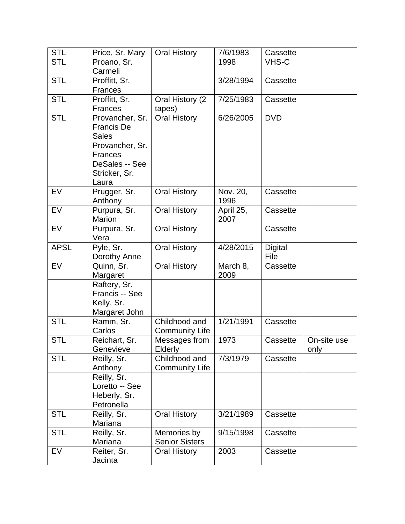| <b>STL</b>  | Price, Sr. Mary            | <b>Oral History</b>      | 7/6/1983  | Cassette   |             |
|-------------|----------------------------|--------------------------|-----------|------------|-------------|
| <b>STL</b>  | Proano, Sr.                |                          | 1998      | VHS-C      |             |
|             | Carmeli                    |                          |           |            |             |
| <b>STL</b>  | Proffitt, Sr.              |                          | 3/28/1994 | Cassette   |             |
|             | <b>Frances</b>             |                          |           |            |             |
| <b>STL</b>  | Proffitt, Sr.              | Oral History (2)         | 7/25/1983 | Cassette   |             |
|             | <b>Frances</b>             | tapes)                   |           |            |             |
| <b>STL</b>  | Provancher, Sr.            | <b>Oral History</b>      | 6/26/2005 | <b>DVD</b> |             |
|             | <b>Francis De</b>          |                          |           |            |             |
|             | <b>Sales</b>               |                          |           |            |             |
|             | Provancher, Sr.            |                          |           |            |             |
|             | <b>Frances</b>             |                          |           |            |             |
|             | DeSales -- See             |                          |           |            |             |
|             | Stricker, Sr.              |                          |           |            |             |
|             | Laura                      |                          |           |            |             |
| <b>EV</b>   | Prugger, Sr.               | <b>Oral History</b>      | Nov. 20,  | Cassette   |             |
|             | Anthony                    |                          | 1996      |            |             |
| <b>EV</b>   | Purpura, Sr.               | <b>Oral History</b>      | April 25, | Cassette   |             |
|             | <b>Marion</b>              |                          | 2007      |            |             |
| <b>EV</b>   | Purpura, Sr.               | <b>Oral History</b>      |           | Cassette   |             |
|             | Vera                       |                          |           |            |             |
| <b>APSL</b> | Pyle, Sr.                  | <b>Oral History</b>      | 4/28/2015 | Digital    |             |
|             | Dorothy Anne               |                          |           | File       |             |
| EV          | Quinn, Sr.                 | <b>Oral History</b>      | March 8,  | Cassette   |             |
|             | Margaret                   |                          | 2009      |            |             |
|             | Raftery, Sr.               |                          |           |            |             |
|             | Francis -- See             |                          |           |            |             |
|             | Kelly, Sr.                 |                          |           |            |             |
|             | Margaret John              |                          |           |            |             |
| <b>STL</b>  | Ramm, Sr.                  | Childhood and            | 1/21/1991 | Cassette   |             |
| <b>STL</b>  | Carlos                     | <b>Community Life</b>    | 1973      |            |             |
|             | Reichart, Sr.<br>Genevieve | Messages from<br>Elderly |           | Cassette   | On-site use |
| <b>STL</b>  | Reilly, Sr.                | Childhood and            | 7/3/1979  | Cassette   | only        |
|             | Anthony                    | <b>Community Life</b>    |           |            |             |
|             | Reilly, Sr.                |                          |           |            |             |
|             | Loretto -- See             |                          |           |            |             |
|             | Heberly, Sr.               |                          |           |            |             |
|             | Petronella                 |                          |           |            |             |
| <b>STL</b>  | Reilly, Sr.                | <b>Oral History</b>      | 3/21/1989 | Cassette   |             |
|             | Mariana                    |                          |           |            |             |
| <b>STL</b>  | Reilly, Sr.                | Memories by              | 9/15/1998 | Cassette   |             |
|             | Mariana                    | <b>Senior Sisters</b>    |           |            |             |
| EV          | Reiter, Sr.                | <b>Oral History</b>      | 2003      | Cassette   |             |
|             | Jacinta                    |                          |           |            |             |
|             |                            |                          |           |            |             |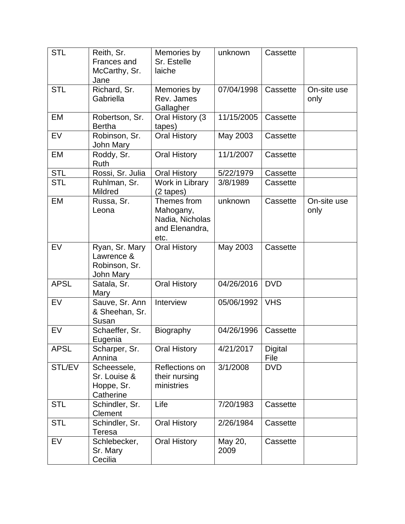| <b>STL</b>  | Reith, Sr.<br>Frances and<br>McCarthy, Sr.<br>Jane         | Memories by<br>Sr. Estelle<br>laiche                                  | unknown         | Cassette        |                     |
|-------------|------------------------------------------------------------|-----------------------------------------------------------------------|-----------------|-----------------|---------------------|
| <b>STL</b>  | Richard, Sr.<br>Gabriella                                  | Memories by<br>Rev. James<br>Gallagher                                | 07/04/1998      | Cassette        | On-site use<br>only |
| EM          | Robertson, Sr.<br><b>Bertha</b>                            | Oral History (3<br>tapes)                                             | 11/15/2005      | Cassette        |                     |
| <b>EV</b>   | Robinson, Sr.<br>John Mary                                 | <b>Oral History</b>                                                   | May 2003        | Cassette        |                     |
| EM          | Roddy, Sr.<br>Ruth                                         | <b>Oral History</b>                                                   | 11/1/2007       | Cassette        |                     |
| <b>STL</b>  | Rossi, Sr. Julia                                           | <b>Oral History</b>                                                   | 5/22/1979       | Cassette        |                     |
| <b>STL</b>  | Ruhlman, Sr.<br><b>Mildred</b>                             | Work in Library<br>$(2 \text{ tapes})$                                | 3/8/1989        | Cassette        |                     |
| <b>EM</b>   | Russa, Sr.<br>Leona                                        | Themes from<br>Mahogany,<br>Nadia, Nicholas<br>and Elenandra,<br>etc. | unknown         | Cassette        | On-site use<br>only |
| <b>EV</b>   | Ryan, Sr. Mary<br>Lawrence &<br>Robinson, Sr.<br>John Mary | <b>Oral History</b>                                                   | May 2003        | Cassette        |                     |
| <b>APSL</b> | Satala, Sr.<br>Mary                                        | <b>Oral History</b>                                                   | 04/26/2016      | <b>DVD</b>      |                     |
| EV          | Sauve, Sr. Ann<br>& Sheehan, Sr.<br>Susan                  | Interview                                                             | 05/06/1992      | <b>VHS</b>      |                     |
| <b>EV</b>   | Schaeffer, Sr.<br>Eugenia                                  | <b>Biography</b>                                                      | 04/26/1996      | Cassette        |                     |
| <b>APSL</b> | Scharper, Sr.<br>Annina                                    | <b>Oral History</b>                                                   | 4/21/2017       | Digital<br>File |                     |
| STL/EV      | Scheessele,<br>Sr. Louise &<br>Hoppe, Sr.<br>Catherine     | Reflections on<br>their nursing<br>ministries                         | 3/1/2008        | <b>DVD</b>      |                     |
| <b>STL</b>  | Schindler, Sr.<br>Clement                                  | Life                                                                  | 7/20/1983       | Cassette        |                     |
| <b>STL</b>  | Schindler, Sr.<br>Teresa                                   | <b>Oral History</b>                                                   | 2/26/1984       | Cassette        |                     |
| EV          | Schlebecker,<br>Sr. Mary<br>Cecilia                        | <b>Oral History</b>                                                   | May 20,<br>2009 | Cassette        |                     |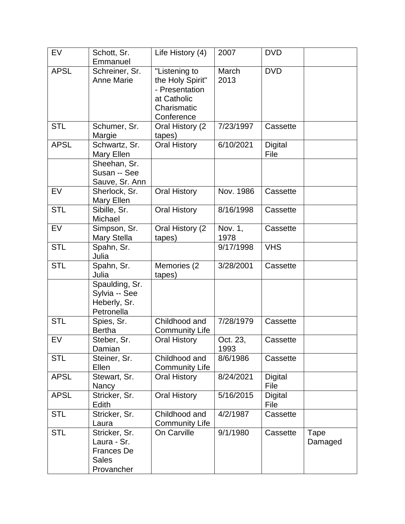| <b>EV</b>   | Schott, Sr.<br>Emmanuel                                                         | Life History (4)                                                                                | 2007             | <b>DVD</b>             |                 |
|-------------|---------------------------------------------------------------------------------|-------------------------------------------------------------------------------------------------|------------------|------------------------|-----------------|
| <b>APSL</b> | Schreiner, Sr.<br><b>Anne Marie</b>                                             | "Listening to<br>the Holy Spirit"<br>- Presentation<br>at Catholic<br>Charismatic<br>Conference | March<br>2013    | <b>DVD</b>             |                 |
| <b>STL</b>  | Schumer, Sr.<br>Margie                                                          | Oral History (2<br>tapes)                                                                       | 7/23/1997        | Cassette               |                 |
| <b>APSL</b> | Schwartz, Sr.<br>Mary Ellen                                                     | <b>Oral History</b>                                                                             | 6/10/2021        | <b>Digital</b><br>File |                 |
|             | Sheehan, Sr.<br>Susan -- See<br>Sauve, Sr. Ann                                  |                                                                                                 |                  |                        |                 |
| EV          | Sherlock, Sr.<br>Mary Ellen                                                     | <b>Oral History</b>                                                                             | Nov. 1986        | Cassette               |                 |
| <b>STL</b>  | Sibille, Sr.<br>Michael                                                         | <b>Oral History</b>                                                                             | 8/16/1998        | Cassette               |                 |
| EV          | Simpson, Sr.<br>Mary Stella                                                     | Oral History (2<br>tapes)                                                                       | Nov. 1,<br>1978  | Cassette               |                 |
| <b>STL</b>  | Spahn, Sr.<br>Julia                                                             |                                                                                                 | 9/17/1998        | <b>VHS</b>             |                 |
| <b>STL</b>  | Spahn, Sr.<br>Julia                                                             | Memories (2<br>tapes)                                                                           | 3/28/2001        | Cassette               |                 |
|             | Spaulding, Sr.<br>Sylvia -- See<br>Heberly, Sr.<br>Petronella                   |                                                                                                 |                  |                        |                 |
| <b>STL</b>  | Spies, Sr.<br><b>Bertha</b>                                                     | Childhood and<br><b>Community Life</b>                                                          | 7/28/1979        | Cassette               |                 |
| EV          | Steber, Sr.<br>Damian                                                           | <b>Oral History</b>                                                                             | Oct. 23,<br>1993 | Cassette               |                 |
| <b>STL</b>  | Steiner, Sr.<br>Ellen                                                           | Childhood and<br><b>Community Life</b>                                                          | 8/6/1986         | Cassette               |                 |
| <b>APSL</b> | Stewart, Sr.<br>Nancy                                                           | <b>Oral History</b>                                                                             | 8/24/2021        | Digital<br>File        |                 |
| <b>APSL</b> | Stricker, Sr.<br>Edith                                                          | <b>Oral History</b>                                                                             | 5/16/2015        | Digital<br>File        |                 |
| <b>STL</b>  | Stricker, Sr.<br>Laura                                                          | Childhood and<br><b>Community Life</b>                                                          | 4/2/1987         | Cassette               |                 |
| <b>STL</b>  | Stricker, Sr.<br>Laura - Sr.<br><b>Frances De</b><br><b>Sales</b><br>Provancher | On Carville                                                                                     | 9/1/1980         | Cassette               | Tape<br>Damaged |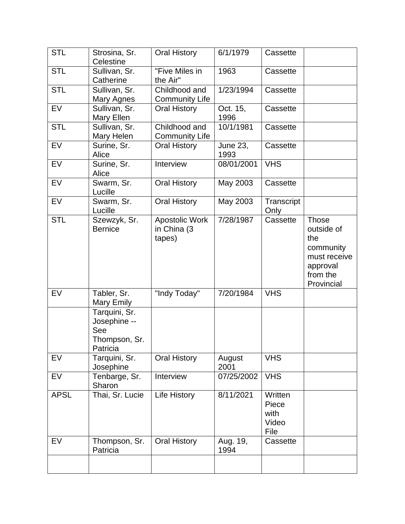| <b>STL</b>  | Strosina, Sr.<br>Celestine                                        | <b>Oral History</b>                     | 6/1/1979                | Cassette                                  |                                                                                                      |
|-------------|-------------------------------------------------------------------|-----------------------------------------|-------------------------|-------------------------------------------|------------------------------------------------------------------------------------------------------|
| <b>STL</b>  | Sullivan, Sr.<br>Catherine                                        | "Five Miles in<br>the Air"              | 1963                    | Cassette                                  |                                                                                                      |
| <b>STL</b>  | Sullivan, Sr.<br>Mary Agnes                                       | Childhood and<br><b>Community Life</b>  | 1/23/1994               | Cassette                                  |                                                                                                      |
| <b>EV</b>   | Sullivan, Sr.<br>Mary Ellen                                       | <b>Oral History</b>                     | Oct. 15,<br>1996        | Cassette                                  |                                                                                                      |
| <b>STL</b>  | Sullivan, Sr.<br>Mary Helen                                       | Childhood and<br><b>Community Life</b>  | 10/1/1981               | Cassette                                  |                                                                                                      |
| EV          | Surine, Sr.<br>Alice                                              | <b>Oral History</b>                     | <b>June 23,</b><br>1993 | Cassette                                  |                                                                                                      |
| <b>EV</b>   | Surine, Sr.<br>Alice                                              | Interview                               | 08/01/2001              | <b>VHS</b>                                |                                                                                                      |
| <b>EV</b>   | Swarm, Sr.<br>Lucille                                             | <b>Oral History</b>                     | May 2003                | Cassette                                  |                                                                                                      |
| EV          | Swarm, Sr.<br>Lucille                                             | <b>Oral History</b>                     | May 2003                | Transcript<br>Only                        |                                                                                                      |
| <b>STL</b>  | Szewzyk, Sr.<br><b>Bernice</b>                                    | Apostolic Work<br>in China (3<br>tapes) | 7/28/1987               | Cassette                                  | <b>Those</b><br>outside of<br>the<br>community<br>must receive<br>approval<br>from the<br>Provincial |
| <b>EV</b>   | Tabler, Sr.<br>Mary Emily                                         | "Indy Today"                            | 7/20/1984               | <b>VHS</b>                                |                                                                                                      |
|             | Tarquini, Sr.<br>Josephine --<br>See<br>Thompson, Sr.<br>Patricia |                                         |                         |                                           |                                                                                                      |
| EV          | Tarquini, Sr.<br>Josephine                                        | <b>Oral History</b>                     | August<br>2001          | <b>VHS</b>                                |                                                                                                      |
| EV          | Tenbarge, Sr.<br>Sharon                                           | Interview                               | 07/25/2002              | <b>VHS</b>                                |                                                                                                      |
| <b>APSL</b> | Thai, Sr. Lucie                                                   | Life History                            | 8/11/2021               | Written<br>Piece<br>with<br>Video<br>File |                                                                                                      |
| EV          | Thompson, Sr.<br>Patricia                                         | <b>Oral History</b>                     | Aug. 19,<br>1994        | Cassette                                  |                                                                                                      |
|             |                                                                   |                                         |                         |                                           |                                                                                                      |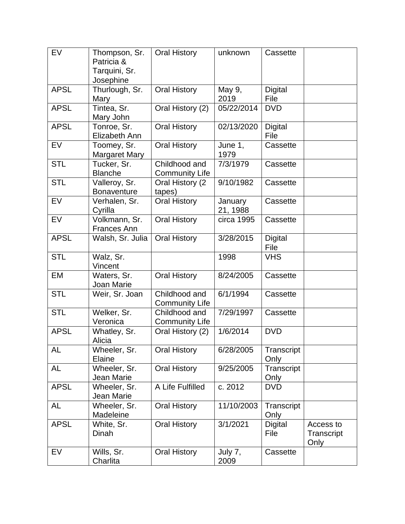| <b>EV</b>   | Thompson, Sr.<br>Patricia &         | <b>Oral History</b>                       | unknown    | Cassette       |            |
|-------------|-------------------------------------|-------------------------------------------|------------|----------------|------------|
|             | Tarquini, Sr.                       |                                           |            |                |            |
|             | Josephine                           |                                           |            |                |            |
| <b>APSL</b> | Thurlough, Sr.                      | <b>Oral History</b>                       | May 9,     | <b>Digital</b> |            |
|             | Mary                                |                                           | 2019       | File           |            |
| <b>APSL</b> | Tintea, Sr.                         | Oral History (2)                          | 05/22/2014 | <b>DVD</b>     |            |
|             | Mary John                           |                                           |            |                |            |
| <b>APSL</b> | Tonroe, Sr.                         | <b>Oral History</b>                       | 02/13/2020 | <b>Digital</b> |            |
|             | Elizabeth Ann                       |                                           |            | File           |            |
| EV          | Toomey, Sr.                         | <b>Oral History</b>                       | June 1,    | Cassette       |            |
|             | <b>Margaret Mary</b>                |                                           | 1979       |                |            |
| <b>STL</b>  | Tucker, Sr.                         | Childhood and                             | 7/3/1979   | Cassette       |            |
|             | <b>Blanche</b>                      | <b>Community Life</b>                     | 9/10/1982  |                |            |
| <b>STL</b>  | Valleroy, Sr.<br><b>Bonaventure</b> | Oral History (2<br>tapes)                 |            | Cassette       |            |
| EV          | Verhalen, Sr.                       | <b>Oral History</b>                       | January    | Cassette       |            |
|             | Cyrilla                             |                                           | 21, 1988   |                |            |
| <b>EV</b>   | Volkmann, Sr.                       | <b>Oral History</b>                       | circa 1995 | Cassette       |            |
|             | <b>Frances Ann</b>                  |                                           |            |                |            |
| <b>APSL</b> | Walsh, Sr. Julia                    | <b>Oral History</b>                       | 3/28/2015  | <b>Digital</b> |            |
|             |                                     |                                           |            | File           |            |
| <b>STL</b>  | Walz, Sr.                           |                                           | 1998       | <b>VHS</b>     |            |
|             | Vincent                             |                                           |            |                |            |
| EM          | Waters, Sr.                         | <b>Oral History</b>                       | 8/24/2005  | Cassette       |            |
|             | Joan Marie                          |                                           |            |                |            |
| <b>STL</b>  | Weir, Sr. Joan                      | Childhood and                             | 6/1/1994   | Cassette       |            |
| <b>STL</b>  |                                     | <b>Community Life</b><br>Childhood and    | 7/29/1997  |                |            |
|             | Welker, Sr.<br>Veronica             |                                           |            | Cassette       |            |
| <b>APSL</b> | Whatley, Sr.                        | <b>Community Life</b><br>Oral History (2) | 1/6/2014   | <b>DVD</b>     |            |
|             | Alicia                              |                                           |            |                |            |
| AL          | Wheeler, Sr.                        | <b>Oral History</b>                       | 6/28/2005  | Transcript     |            |
|             | Elaine                              |                                           |            | Only           |            |
| AL          | Wheeler, Sr.                        | <b>Oral History</b>                       | 9/25/2005  | Transcript     |            |
|             | Jean Marie                          |                                           |            | Only           |            |
| <b>APSL</b> | Wheeler, Sr.                        | A Life Fulfilled                          | c. 2012    | <b>DVD</b>     |            |
|             | Jean Marie                          |                                           |            |                |            |
| <b>AL</b>   | Wheeler, Sr.                        | <b>Oral History</b>                       | 11/10/2003 | Transcript     |            |
|             | Madeleine                           |                                           |            | Only           |            |
| <b>APSL</b> | White, Sr.                          | <b>Oral History</b>                       | 3/1/2021   | Digital        | Access to  |
|             | Dinah                               |                                           |            | File           | Transcript |
| EV          | Wills, Sr.                          | <b>Oral History</b>                       | July 7,    | Cassette       | Only       |
|             | Charlita                            |                                           | 2009       |                |            |